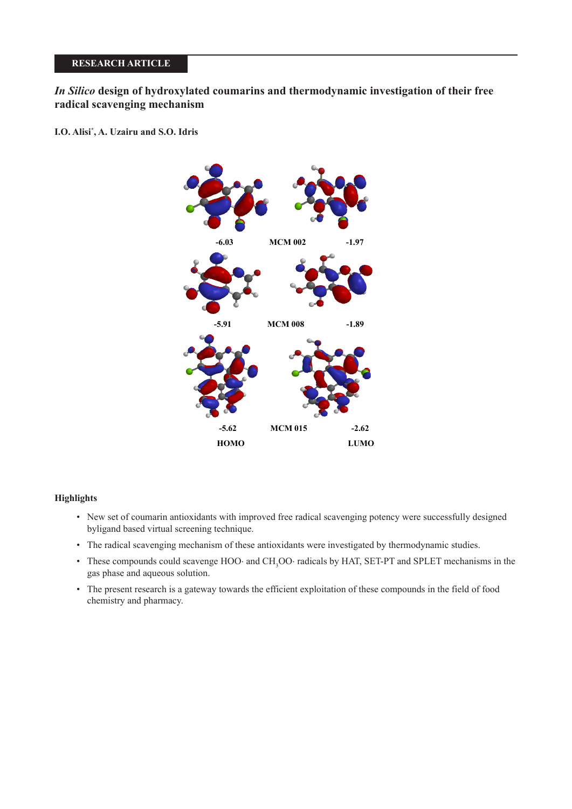# **RESEARCH ARTICLE**

*In Silico* **design of hydroxylated coumarins and thermodynamic investigation of their free radical scavenging mechanism**

**I.O. Alisi\* , A. Uzairu and S.O. Idris**



# **Highlights**

- New set of coumarin antioxidants with improved free radical scavenging potency were successfully designed byligand based virtual screening technique.
- The radical scavenging mechanism of these antioxidants were investigated by thermodynamic studies.
- These compounds could scavenge HOO⋅ and CH3 OO⋅ radicals by HAT, SET-PT and SPLET mechanisms in the gas phase and aqueous solution.
- The present research is a gateway towards the efficient exploitation of these compounds in the field of food chemistry and pharmacy.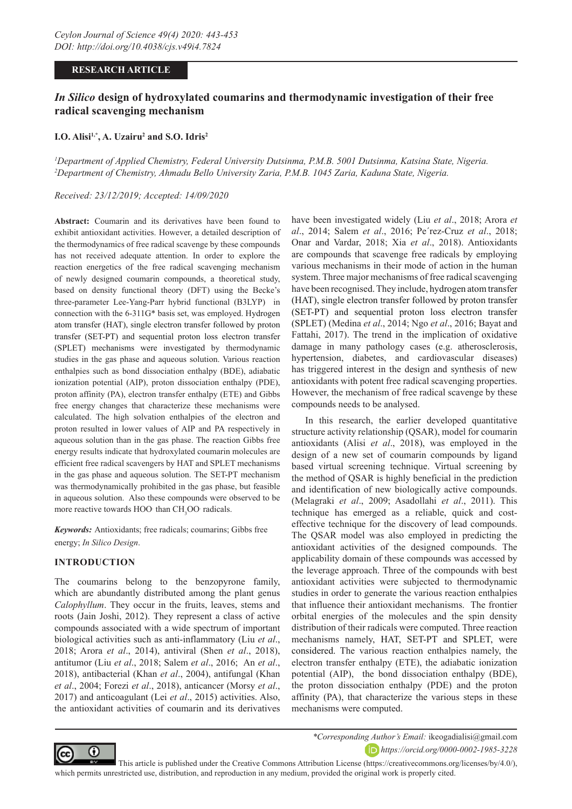# **RESEARCH ARTICLE**

# *In Silico* **design of hydroxylated coumarins and thermodynamic investigation of their free radical scavenging mechanism**

### **I.O.** Alisi<sup>1,\*</sup>, A. Uzairu<sup>2</sup> and S.O. Idris<sup>2</sup>

*1 Department of Applied Chemistry, Federal University Dutsinma, P.M.B. 5001 Dutsinma, Katsina State, Nigeria. 2 Department of Chemistry, Ahmadu Bello University Zaria, P.M.B. 1045 Zaria, Kaduna State, Nigeria.*

## *Received: 23/12/2019; Accepted: 14/09/2020*

**Abstract:** Coumarin and its derivatives have been found to exhibit antioxidant activities. However, a detailed description of the thermodynamics of free radical scavenge by these compounds has not received adequate attention. In order to explore the reaction energetics of the free radical scavenging mechanism of newly designed coumarin compounds, a theoretical study, based on density functional theory (DFT) using the Becke's three-parameter Lee-Yang-Parr hybrid functional (B3LYP) in connection with the 6-311G\* basis set, was employed. Hydrogen atom transfer (HAT), single electron transfer followed by proton transfer (SET-PT) and sequential proton loss electron transfer (SPLET) mechanisms were investigated by thermodynamic studies in the gas phase and aqueous solution. Various reaction enthalpies such as bond dissociation enthalpy (BDE), adiabatic ionization potential (AIP), proton dissociation enthalpy (PDE), proton affinity (PA), electron transfer enthalpy (ETE) and Gibbs free energy changes that characterize these mechanisms were calculated. The high solvation enthalpies of the electron and proton resulted in lower values of AIP and PA respectively in aqueous solution than in the gas phase. The reaction Gibbs free energy results indicate that hydroxylated coumarin molecules are efficient free radical scavengers by HAT and SPLET mechanisms in the gas phase and aqueous solution. The SET-PT mechanism was thermodynamically prohibited in the gas phase, but feasible in aqueous solution. Also these compounds were observed to be more reactive towards HOO than  $CH<sub>3</sub>OO$  radicals.

*Keywords:* Antioxidants; free radicals; coumarins; Gibbs free energy; *In Silico Design*.

#### **INTRODUCTION**

The coumarins belong to the benzopyrone family, which are abundantly distributed among the plant genus *Calophyllum*. They occur in the fruits, leaves, stems and roots (Jain Joshi, 2012). They represent a class of active compounds associated with a wide spectrum of important biological activities such as anti-inflammatory (Liu *et al*., 2018; Arora *et al*., 2014), antiviral (Shen *et al*., 2018), antitumor (Liu *et al*., 2018; Salem *et al*., 2016; An *et al*., 2018), antibacterial (Khan *et al*., 2004), antifungal (Khan *et al*., 2004; Forezi *et al*., 2018), anticancer (Morsy *et al*., 2017) and anticoagulant (Lei *et al*., 2015) activities. Also, the antioxidant activities of coumarin and its derivatives have been investigated widely (Liu *et al*., 2018; Arora *et al*., 2014; Salem *et al*., 2016; Pe´rez-Cruz *et al*., 2018; Onar and Vardar, 2018; Xia *et al*., 2018). Antioxidants are compounds that scavenge free radicals by employing various mechanisms in their mode of action in the human system. Three major mechanisms of free radical scavenging have been recognised. They include, hydrogen atom transfer (HAT), single electron transfer followed by proton transfer (SET-PT) and sequential proton loss electron transfer (SPLET) (Medina *et al*., 2014; Ngo *et al*., 2016; Bayat and Fattahi, 2017). The trend in the implication of oxidative damage in many pathology cases (e.g. atherosclerosis, hypertension, diabetes, and cardiovascular diseases) has triggered interest in the design and synthesis of new antioxidants with potent free radical scavenging properties. However, the mechanism of free radical scavenge by these compounds needs to be analysed.

In this research, the earlier developed quantitative structure activity relationship (QSAR), model for coumarin antioxidants (Alisi *et al*., 2018), was employed in the design of a new set of coumarin compounds by ligand based virtual screening technique. Virtual screening by the method of QSAR is highly beneficial in the prediction and identification of new biologically active compounds. (Melagraki *et al*., 2009; Asadollahi *et al*., 2011). This technique has emerged as a reliable, quick and costeffective technique for the discovery of lead compounds. The QSAR model was also employed in predicting the antioxidant activities of the designed compounds. The applicability domain of these compounds was accessed by the leverage approach. Three of the compounds with best antioxidant activities were subjected to thermodynamic studies in order to generate the various reaction enthalpies that influence their antioxidant mechanisms. The frontier orbital energies of the molecules and the spin density distribution of their radicals were computed. Three reaction mechanisms namely, HAT, SET-PT and SPLET, were considered. The various reaction enthalpies namely, the electron transfer enthalpy (ETE), the adiabatic ionization potential (AIP), the bond dissociation enthalpy (BDE), the proton dissociation enthalpy (PDE) and the proton affinity (PA), that characterize the various steps in these mechanisms were computed.



*\*Corresponding Author's Email:* ikeogadialisi@gmail.com *https://orcid.org/0000-0002-1985-3228*

 This article is published under the Creative Commons Attribution License (https://creativecommons.org/licenses/by/4.0/), which permits unrestricted use, distribution, and reproduction in any medium, provided the original work is properly cited.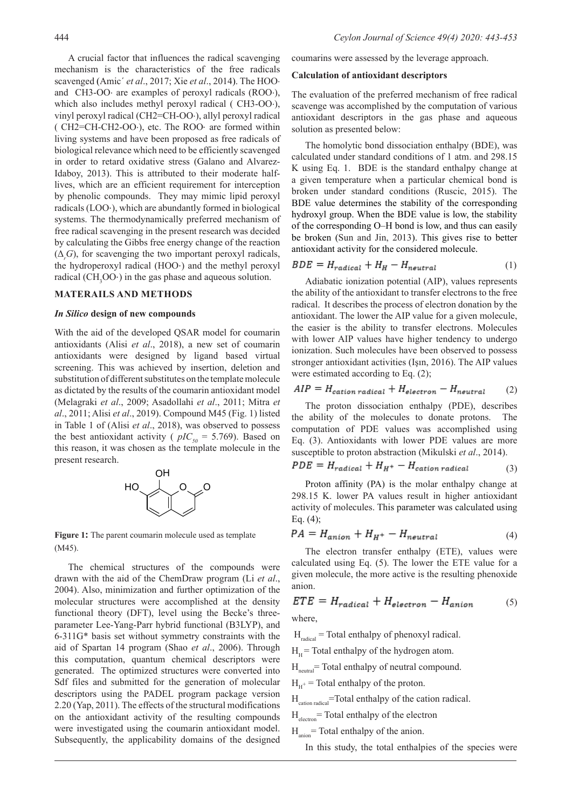A crucial factor that influences the radical scavenging mechanism is the characteristics of the free radicals scavenged (Amic´ *et al*., 2017; Xie *et al*., 2014). The HOO⋅ and CH3-OO⋅ are examples of peroxyl radicals (ROO⋅), which also includes methyl peroxyl radical ( CH3-OO⋅), vinyl peroxyl radical (CH2=CH-OO⋅), allyl peroxyl radical ( CH2=CH-CH2-OO⋅), etc. The ROO⋅ are formed within living systems and have been proposed as free radicals of biological relevance which need to be efficiently scavenged in order to retard oxidative stress (Galano and Alvarez-Idaboy, 2013). This is attributed to their moderate halflives, which are an efficient requirement for interception by phenolic compounds. They may mimic lipid peroxyl radicals (LOO⋅), which are abundantly formed in biological systems. The thermodynamically preferred mechanism of free radical scavenging in the present research was decided by calculating the Gibbs free energy change of the reaction  $(\Delta_r G)$ , for scavenging the two important peroxyl radicals, the hydroperoxyl radical (HOO⋅) and the methyl peroxyl radical  $(CH<sub>3</sub>OO·)$  in the gas phase and aqueous solution.

# **MATERAILS AND METHODS**

#### *In Silico* **design of new compounds**

With the aid of the developed QSAR model for coumarin antioxidants (Alisi *et al*., 2018), a new set of coumarin antioxidants were designed by ligand based virtual screening. This was achieved by insertion, deletion and substitution of different substitutes on the template molecule as dictated by the results of the coumarin antioxidant model (Melagraki *et al*., 2009; Asadollahi *et al*., 2011; Mitra *et al*., 2011; Alisi *et al*., 2019). Compound M45 (Fig. 1) listed in Table 1 of (Alisi *et al*., 2018), was observed to possess the best antioxidant activity ( $pIC_{50} = 5.769$ ). Based on this reason, it was chosen as the template molecule in the present research.



**Figure 1:** The parent coumarin molecule used as template (M45).

The chemical structures of the compounds were drawn with the aid of the ChemDraw program (Li *et al*., 2004). Also, minimization and further optimization of the molecular structures were accomplished at the density functional theory (DFT), level using the Becke's threeparameter Lee-Yang-Parr hybrid functional (B3LYP), and 6-311G\* basis set without symmetry constraints with the aid of Spartan 14 program (Shao *et al*., 2006). Through this computation, quantum chemical descriptors were generated. The optimized structures were converted into Sdf files and submitted for the generation of molecular descriptors using the PADEL program package version 2.20 (Yap, 2011). The effects of the structural modifications on the antioxidant activity of the resulting compounds were investigated using the coumarin antioxidant model. Subsequently, the applicability domains of the designed

coumarins were assessed by the leverage approach.

#### **Calculation of antioxidant descriptors**

The evaluation of the preferred mechanism of free radical scavenge was accomplished by the computation of various antioxidant descriptors in the gas phase and aqueous solution as presented below:

The homolytic bond dissociation enthalpy (BDE), was calculated under standard conditions of 1 atm. and 298.15 K using Eq. 1. BDE is the standard enthalpy change at a given temperature when a particular chemical bond is broken under standard conditions (Ruscic, 2015). The BDE value determines the stability of the corresponding hydroxyl group. When the BDE value is low, the stability of the corresponding O–H bond is low, and thus can easily be broken (Sun and Jin, 2013). This gives rise to better antioxidant activity for the considered molecule.

$$
BDE = H_{radical} + H_H - H_{neutral} \tag{1}
$$

Adiabatic ionization potential (AIP), values represents the ability of the antioxidant to transfer electrons to the free radical. It describes the process of electron donation by the antioxidant. The lower the AIP value for a given molecule, the easier is the ability to transfer electrons. Molecules with lower AIP values have higher tendency to undergo ionization. Such molecules have been observed to possess stronger antioxidant activities (Işın, 2016). The AIP values were estimated according to Eq. (2);

$$
AIP = H_{cation \, radical} + H_{electron} - H_{neutral} \tag{2}
$$

The proton dissociation enthalpy (PDE), describes the ability of the molecules to donate protons. The computation of PDE values was accomplished using Eq. (3). Antioxidants with lower PDE values are more susceptible to proton abstraction (Mikulski *et al*., 2014).

$$
PDE = H_{radical} + H_{H^+} - H_{cation \,radical} \tag{3}
$$

Proton affinity (PA) is the molar enthalpy change at 298.15 K. lower PA values result in higher antioxidant activity of molecules. This parameter was calculated using Eq. (4);

$$
PA = H_{anion} + H_{H^+} - H_{neutral} \tag{4}
$$

The electron transfer enthalpy (ETE), values were calculated using Eq. (5). The lower the ETE value for a given molecule, the more active is the resulting phenoxide anion.

$$
ETE = H_{radical} + H_{electron} - H_{anion} \tag{5}
$$

where,

 $H_{radical}$  = Total enthalpy of phenoxyl radical.

 $H<sub>u</sub>$  = Total enthalpy of the hydrogen atom.

 $H<sub>neutral</sub>$ = Total enthalpy of neutral compound.

 $H_{\text{u}^+}$  = Total enthalpy of the proton.

H<sub>cation radical</sub>=Total enthalpy of the cation radical.

 $H<sub>electron</sub>$  = Total enthalpy of the electron

 $H_{\text{anion}}$  Total enthalpy of the anion.

In this study, the total enthalpies of the species were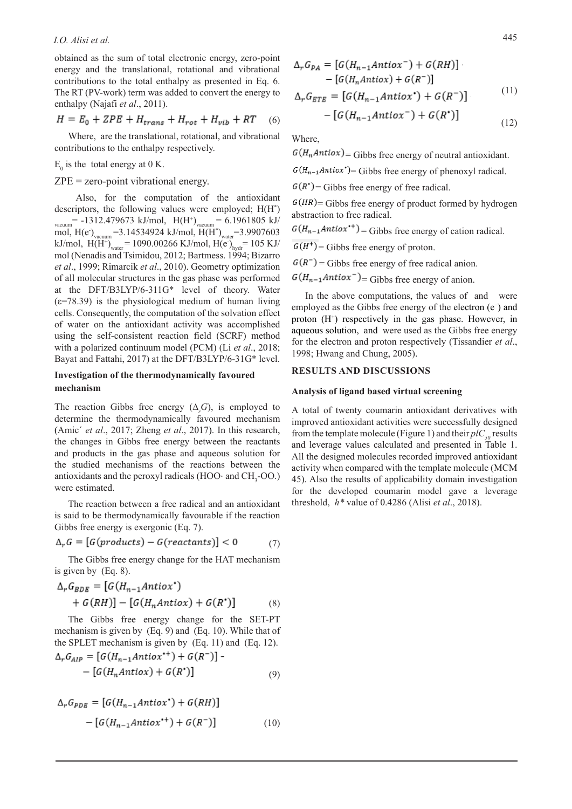obtained as the sum of total electronic energy, zero-point energy and the translational, rotational and vibrational contributions to the total enthalpy as presented in Eq. 6. The RT (PV-work) term was added to convert the energy to enthalpy (Najafi *et al*., 2011).

$$
H = E_0 + ZPE + H_{trans} + H_{rot} + H_{vib} + RT \quad (6)
$$

Where, are the translational, rotational, and vibrational contributions to the enthalpy respectively.

# $E_0$  is the total energy at 0 K.

ZPE = zero-point vibrational energy.

 Also, for the computation of the antioxidant descriptors, the following values were employed; H(H\* )  $_{\text{vacuum}}$ = -1312.479673 kJ/mol,  $\text{H(H}^{+})_{\text{vacuum}}$ = 6.1961805 kJ/ mol, H(e<sup>-</sup>)<sub>vacuum</sub>=3.14534924 kJ/mol, H(H<sup>\*</sup>)<sub>water</sub>=3.9907603 kJ/mol,  $H(H^+)_{water} = 1090.00266 \text{ KJ/mol}, H(e^+)_{hydro} = 105 \text{ KJ/m}$ mol (Nenadis and Tsimidou, 2012; Bartmess. 1994; Bizarro *et al*., 1999; Rimarcik *et al*., 2010). Geometry optimization of all molecular structures in the gas phase was performed at the DFT/B3LYP/6-311G\* level of theory. Water  $(\epsilon=78.39)$  is the physiological medium of human living cells. Consequently, the computation of the solvation effect of water on the antioxidant activity was accomplished using the self-consistent reaction field (SCRF) method with a polarized continuum model (PCM) (Li *et al*., 2018; Bayat and Fattahi, 2017) at the DFT/B3LYP/6-31G\* level.

# **Investigation of the thermodynamically favoured mechanism**

The reaction Gibbs free energy  $(\Delta_r G)$ , is employed to determine the thermodynamically favoured mechanism (Amic´ *et al*., 2017; Zheng *et al*., 2017). In this research, the changes in Gibbs free energy between the reactants and products in the gas phase and aqueous solution for the studied mechanisms of the reactions between the antioxidants and the peroxyl radicals (HOO⋅ and  $\text{CH}_3$ -OO.) were estimated.

The reaction between a free radical and an antioxidant is said to be thermodynamically favourable if the reaction Gibbs free energy is exergonic (Eq. 7).

$$
\Delta_r G = [G(products) - G(reactants)] < 0 \tag{7}
$$

The Gibbs free energy change for the HAT mechanism is given by (Eq. 8).

$$
\Delta_r G_{BDE} = [G(H_{n-1}Antio x^*)+ G(RH)] - [G(H_nAntio x) + G(R^*)]
$$
(8)

The Gibbs free energy change for the SET-PT mechanism is given by (Eq. 9) and (Eq. 10). While that of the SPLET mechanism is given by (Eq. 11) and (Eq. 12).  $F_{\alpha}/H$  $\lambda$  $+ + \sqrt{2}$ 

$$
\Delta_r G_{AIP} = [G(H_{n-1}AntioX^+)+G(R^+)] -- [G(H_nAntioX)+G(R^*)]
$$
\n(9)

$$
\Delta_r G_{PDE} = [G(H_{n-1}Antiox^*) + G(RH)]
$$

$$
- [G(H_{n-1}Antiox^{*+}) + G(R^{-})]
$$
(10)

$$
\Delta_r G_{PA} = [G(H_{n-1}Antio x^-) + G(RH)]
$$
  
- 
$$
[G(H_n Antio x) + G(R^-)]
$$
  

$$
\Delta_r G = [G(H_{n-1} Artio x^*) + G(R^-)]
$$
 (11)

$$
\Delta_r G_{ETE} = [G(H_{n-1}Antio x^*) + G(R^-)] \tag{11}
$$

$$
-\left[G(H_{n-1}Antiox^{-})+G(R^{*})\right]
$$
\n<sup>(12)</sup>

Where,

 $G(H_nAntiox)$  = Gibbs free energy of neutral antioxidant.

 $G(H_{n-1}Antiox^*)$  = Gibbs free energy of phenoxyl radical.

 $G(R^{\bullet})$  = Gibbs free energy of free radical.

 $G(HR)$  = Gibbs free energy of product formed by hydrogen abstraction to free radical.

 $G(H_{n-1}Antiox^{+})$  = Gibbs free energy of cation radical.

 $G(H^+)$  = Gibbs free energy of proton.

 $G(R^-)$  = Gibbs free energy of free radical anion.

 $G(H_{n-1}Antiox^{-})$  = Gibbs free energy of anion.

In the above computations, the values of and were employed as the Gibbs free energy of the electron (e<sup>-</sup>) and proton (H<sup>+</sup>) respectively in the gas phase. However, in aqueous solution, and were used as the Gibbs free energy for the electron and proton respectively (Tissandier *et al*., 1998; Hwang and Chung, 2005).

# **RESULTS AND DISCUSSIONS**

### **Analysis of ligand based virtual screening**

A total of twenty coumarin antioxidant derivatives with improved antioxidant activities were successfully designed from the template molecule (Figure 1) and their  $p/C_{so}$  results and leverage values calculated and presented in Table 1. All the designed molecules recorded improved antioxidant activity when compared with the template molecule (MCM 45). Also the results of applicability domain investigation for the developed coumarin model gave a leverage threshold, *h\** value of 0.4286 (Alisi *et al*., 2018).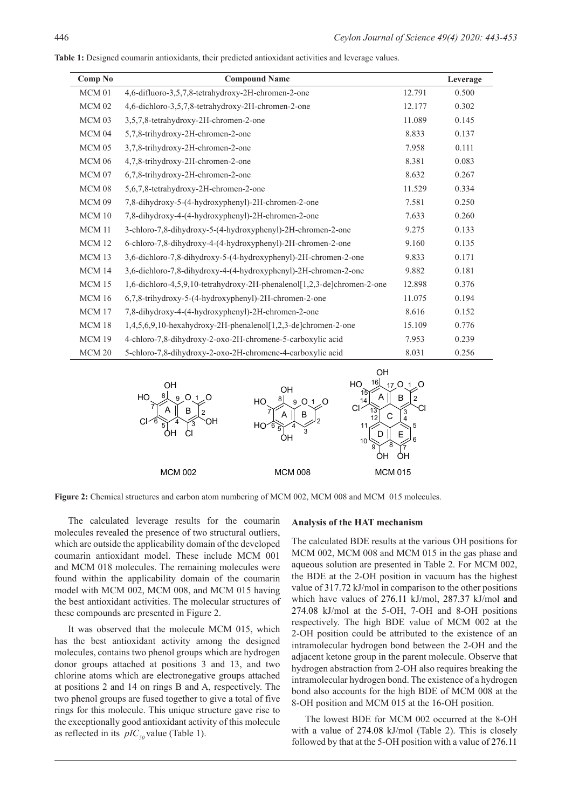| Comp No           | <b>Compound Name</b>                                                    |        | Leverage |
|-------------------|-------------------------------------------------------------------------|--------|----------|
| MCM 01            | 4,6-difluoro-3,5,7,8-tetrahydroxy-2H-chromen-2-one                      | 12.791 | 0.500    |
| MCM 02            | 4,6-dichloro-3,5,7,8-tetrahydroxy-2H-chromen-2-one                      | 12.177 | 0.302    |
| MCM 03            | 3,5,7,8-tetrahydroxy-2H-chromen-2-one                                   | 11.089 | 0.145    |
| MCM 04            | 5,7,8-trihydroxy-2H-chromen-2-one                                       | 8.833  | 0.137    |
| MCM 05            | 3,7,8-trihydroxy-2H-chromen-2-one                                       | 7.958  | 0.111    |
| MCM 06            | 4,7,8-trihydroxy-2H-chromen-2-one                                       | 8.381  | 0.083    |
| MCM 07            | 6,7,8-trihydroxy-2H-chromen-2-one                                       | 8.632  | 0.267    |
| MCM 08            | 5,6,7,8-tetrahydroxy-2H-chromen-2-one                                   | 11.529 | 0.334    |
| MCM 09            | 7,8-dihydroxy-5-(4-hydroxyphenyl)-2H-chromen-2-one                      | 7.581  | 0.250    |
| MCM 10            | 7,8-dihydroxy-4-(4-hydroxyphenyl)-2H-chromen-2-one                      | 7.633  | 0.260    |
| MCM 11            | 3-chloro-7,8-dihydroxy-5-(4-hydroxyphenyl)-2H-chromen-2-one             | 9.275  | 0.133    |
| MCM <sub>12</sub> | 6-chloro-7,8-dihydroxy-4-(4-hydroxyphenyl)-2H-chromen-2-one             | 9.160  | 0.135    |
| MCM 13            | 3,6-dichloro-7,8-dihydroxy-5-(4-hydroxyphenyl)-2H-chromen-2-one         | 9.833  | 0.171    |
| MCM 14            | 3,6-dichloro-7,8-dihydroxy-4-(4-hydroxyphenyl)-2H-chromen-2-one         | 9.882  | 0.181    |
| MCM 15            | 1,6-dichloro-4,5,9,10-tetrahydroxy-2H-phenalenol[1,2,3-de]chromen-2-one | 12.898 | 0.376    |
| <b>MCM 16</b>     | 6,7,8-trihydroxy-5-(4-hydroxyphenyl)-2H-chromen-2-one                   | 11.075 | 0.194    |
| <b>MCM 17</b>     | 7,8-dihydroxy-4-(4-hydroxyphenyl)-2H-chromen-2-one                      | 8.616  | 0.152    |
| MCM 18            | 1,4,5,6,9,10-hexahydroxy-2H-phenalenol[1,2,3-de]chromen-2-one           | 15.109 | 0.776    |
| MCM 19            | 4-chloro-7,8-dihydroxy-2-oxo-2H-chromene-5-carboxylic acid              | 7.953  | 0.239    |
| MCM <sub>20</sub> | 5-chloro-7,8-dihydroxy-2-oxo-2H-chromene-4-carboxylic acid              | 8.031  | 0.256    |

**Table 1:** Designed coumarin antioxidants, their predicted antioxidant activities and leverage values.



**Figure 2:** Chemical structures and carbon atom numbering of MCM 002, MCM 008 and MCM 015 molecules.

The calculated leverage results for the coumarin molecules revealed the presence of two structural outliers, which are outside the applicability domain of the developed coumarin antioxidant model. These include MCM 001 and MCM 018 molecules. The remaining molecules were found within the applicability domain of the coumarin model with MCM 002, MCM 008, and MCM 015 having the best antioxidant activities. The molecular structures of these compounds are presented in Figure 2.

It was observed that the molecule MCM 015, which has the best antioxidant activity among the designed molecules, contains two phenol groups which are hydrogen donor groups attached at positions 3 and 13, and two chlorine atoms which are electronegative groups attached at positions 2 and 14 on rings B and A, respectively. The two phenol groups are fused together to give a total of five rings for this molecule. This unique structure gave rise to the exceptionally good antioxidant activity of this molecule as reflected in its  $pIC_{50}$  value (Table 1).

#### **Analysis of the HAT mechanism**

The calculated BDE results at the various OH positions for MCM 002, MCM 008 and MCM 015 in the gas phase and aqueous solution are presented in Table 2. For MCM 002, the BDE at the 2-OH position in vacuum has the highest value of 317.72 kJ/mol in comparison to the other positions which have values of 276.11 kJ/mol, 287.37 kJ/mol and 274.08 kJ/mol at the 5-OH, 7-OH and 8-OH positions respectively. The high BDE value of MCM 002 at the 2-OH position could be attributed to the existence of an intramolecular hydrogen bond between the 2-OH and the adjacent ketone group in the parent molecule. Observe that hydrogen abstraction from 2-OH also requires breaking the intramolecular hydrogen bond. The existence of a hydrogen bond also accounts for the high BDE of MCM 008 at the 8-OH position and MCM 015 at the 16-OH position.

The lowest BDE for MCM 002 occurred at the 8-OH with a value of 274.08 kJ/mol (Table 2). This is closely followed by that at the 5-OH position with a value of 276.11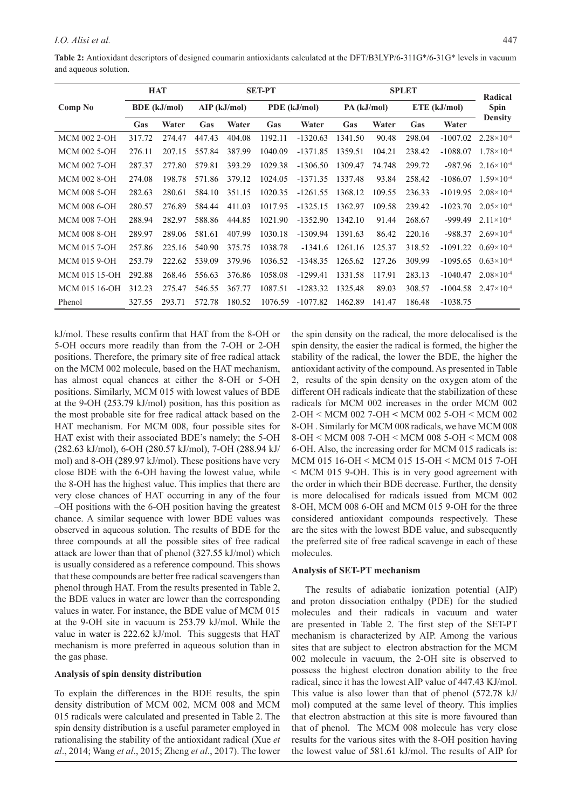|                      |                     | <b>HAT</b> | <b>SET-PT</b>  |        |              |            |             | Radical |              |            |                       |
|----------------------|---------------------|------------|----------------|--------|--------------|------------|-------------|---------|--------------|------------|-----------------------|
| Comp No              | <b>BDE</b> (kJ/mol) |            | $AIP$ (kJ/mol) |        | PDE (kJ/mol) |            | PA (kJ/mol) |         | ETE (kJ/mol) |            | <b>Spin</b>           |
|                      | Gas                 | Water      | Gas            | Water  | Gas          | Water      | Gas         | Water   | Gas          | Water      | <b>Density</b>        |
| <b>MCM 002 2-OH</b>  | 317.72              | 274.47     | 447.43         | 404.08 | 1192.11      | $-1320.63$ | 1341.50     | 90.48   | 298.04       | $-1007.02$ | $2.28 \times 10^{-4}$ |
| <b>MCM 002 5-OH</b>  | 276.11              | 207.15     | 557.84         | 387.99 | 1040.09      | $-1371.85$ | 1359.51     | 104.21  | 238.42       | $-1088.07$ | $1.78 \times 10^{-4}$ |
| <b>MCM 002 7-OH</b>  | 287.37              | 277.80     | 579.81         | 393.29 | 1029.38      | $-1306.50$ | 1309.47     | 74.748  | 299.72       | $-987.96$  | $2.16\times10^{-4}$   |
| <b>MCM 002 8-OH</b>  | 274.08              | 198.78     | 571.86         | 379.12 | 1024.05      | $-1371.35$ | 1337.48     | 93.84   | 258.42       | $-1086.07$ | $1.59\times10^{-4}$   |
| <b>MCM 008 5-OH</b>  | 282.63              | 280.61     | 584.10         | 351.15 | 1020.35      | $-1261.55$ | 1368.12     | 109.55  | 236.33       | $-1019.95$ | $2.08 \times 10^{-4}$ |
| <b>MCM 008 6-OH</b>  | 280.57              | 276.89     | 584.44         | 411.03 | 1017.95      | $-1325.15$ | 1362.97     | 109.58  | 239.42       | $-1023.70$ | $2.05 \times 10^{-4}$ |
| <b>MCM 008 7-OH</b>  | 288.94              | 282.97     | 588.86         | 444.85 | 1021.90      | $-1352.90$ | 1342.10     | 91.44   | 268.67       | $-999.49$  | $2.11 \times 10^{-4}$ |
| <b>MCM 008 8-OH</b>  | 289.97              | 289.06     | 581.61         | 407.99 | 1030.18      | $-1309.94$ | 1391.63     | 86.42   | 220.16       | -988.37    | $2.69\times10^{-4}$   |
| <b>MCM 015 7-OH</b>  | 257.86              | 225.16     | 540.90         | 375.75 | 1038.78      | $-1341.6$  | 1261.16     | 125.37  | 318.52       | $-1091.22$ | $0.69\times10^{-4}$   |
| <b>MCM 015 9-OH</b>  | 253.79              | 222.62     | 539.09         | 379.96 | 1036.52      | $-1348.35$ | 1265.62     | 127.26  | 309.99       | $-1095.65$ | $0.63\times10^{-4}$   |
| <b>MCM 015 15-OH</b> | 292.88              | 268.46     | 556.63         | 376.86 | 1058.08      | $-1299.41$ | 1331.58     | 117.91  | 283.13       | $-1040.47$ | $2.08 \times 10^{-4}$ |
| MCM 015 16-OH        | 312.23              | 275.47     | 546.55         | 367.77 | 1087.51      | $-1283.32$ | 1325.48     | 89.03   | 308.57       | $-1004.58$ | $2.47\times10^{-4}$   |
| Phenol               | 327.55              | 293.71     | 572.78         | 180.52 | 1076.59      | $-1077.82$ | 1462.89     | 141.47  | 186.48       | $-1038.75$ |                       |

kJ/mol. These results confirm that HAT from the 8-OH or 5-OH occurs more readily than from the 7-OH or 2-OH positions. Therefore, the primary site of free radical attack on the MCM 002 molecule, based on the HAT mechanism, has almost equal chances at either the 8-OH or 5-OH positions. Similarly, MCM 015 with lowest values of BDE at the 9-OH (253.79 kJ/mol) position, has this position as the most probable site for free radical attack based on the HAT mechanism. For MCM 008, four possible sites for HAT exist with their associated BDE's namely; the 5-OH (282.63 kJ/mol), 6-OH (280.57 kJ/mol), 7-OH (288.94 kJ/ mol) and 8-OH (289.97 kJ/mol). These positions have very close BDE with the 6-OH having the lowest value, while the 8-OH has the highest value. This implies that there are very close chances of HAT occurring in any of the four –OH positions with the 6-OH position having the greatest chance. A similar sequence with lower BDE values was observed in aqueous solution. The results of BDE for the three compounds at all the possible sites of free radical attack are lower than that of phenol (327.55 kJ/mol) which is usually considered as a reference compound. This shows that these compounds are better free radical scavengers than phenol through HAT. From the results presented in Table 2, the BDE values in water are lower than the corresponding values in water. For instance, the BDE value of MCM 015 at the 9-OH site in vacuum is 253.79 kJ/mol. While the value in water is 222.62 kJ/mol. This suggests that HAT mechanism is more preferred in aqueous solution than in the gas phase.

# **Analysis of spin density distribution**

To explain the differences in the BDE results, the spin density distribution of MCM 002, MCM 008 and MCM 015 radicals were calculated and presented in Table 2. The spin density distribution is a useful parameter employed in rationalising the stability of the antioxidant radical (Xue *et al*., 2014; Wang *et al*., 2015; Zheng *et al*., 2017). The lower

the spin density on the radical, the more delocalised is the spin density, the easier the radical is formed, the higher the stability of the radical, the lower the BDE, the higher the antioxidant activity of the compound. As presented in Table 2, results of the spin density on the oxygen atom of the different OH radicals indicate that the stabilization of these radicals for MCM 002 increases in the order MCM 002 2-OH ˂ MCM 002 7-OH **˂** MCM 002 5-OH ˂ MCM 002 8-OH . Similarly for MCM 008 radicals, we have MCM 008 8-OH ˂ MCM 008 7-OH ˂ MCM 008 5-OH ˂ MCM 008 6-OH. Also, the increasing order for MCM 015 radicals is: MCM 015 16-OH ˂ MCM 015 15-OH ˂ MCM 015 7-OH ˂ MCM 015 9-OH. This is in very good agreement with the order in which their BDE decrease. Further, the density is more delocalised for radicals issued from MCM 002 8-OH, MCM 008 6-OH and MCM 015 9-OH for the three considered antioxidant compounds respectively. These are the sites with the lowest BDE value, and subsequently the preferred site of free radical scavenge in each of these molecules.

## **Analysis of SET-PT mechanism**

The results of adiabatic ionization potential (AIP) and proton dissociation enthalpy (PDE) for the studied molecules and their radicals in vacuum and water are presented in Table 2. The first step of the SET-PT mechanism is characterized by AIP. Among the various sites that are subject to electron abstraction for the MCM 002 molecule in vacuum, the 2-OH site is observed to possess the highest electron donation ability to the free radical, since it has the lowest AIP value of 447.43 KJ/mol. This value is also lower than that of phenol (572.78 kJ/ mol) computed at the same level of theory. This implies that electron abstraction at this site is more favoured than that of phenol. The MCM 008 molecule has very close results for the various sites with the 8-OH position having the lowest value of 581.61 kJ/mol. The results of AIP for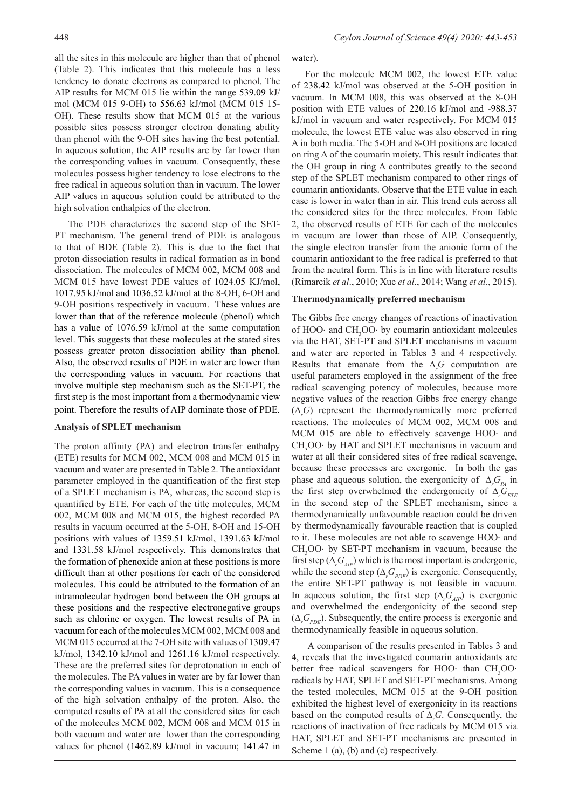all the sites in this molecule are higher than that of phenol (Table 2). This indicates that this molecule has a less tendency to donate electrons as compared to phenol. The AIP results for MCM 015 lie within the range 539.09 kJ/ mol (MCM 015 9-OH) to 556.63 kJ/mol (MCM 015 15- OH). These results show that MCM 015 at the various possible sites possess stronger electron donating ability than phenol with the 9-OH sites having the best potential. In aqueous solution, the AIP results are by far lower than the corresponding values in vacuum. Consequently, these molecules possess higher tendency to lose electrons to the free radical in aqueous solution than in vacuum. The lower AIP values in aqueous solution could be attributed to the high solvation enthalpies of the electron.

The PDE characterizes the second step of the SET-PT mechanism. The general trend of PDE is analogous to that of BDE (Table 2). This is due to the fact that proton dissociation results in radical formation as in bond dissociation. The molecules of MCM 002, MCM 008 and MCM 015 have lowest PDE values of 1024.05 KJ/mol, 1017.95 kJ/mol and 1036.52 kJ/mol at the 8-OH, 6-OH and 9-OH positions respectively in vacuum. These values are lower than that of the reference molecule (phenol) which has a value of 1076.59 kJ/mol at the same computation level. This suggests that these molecules at the stated sites possess greater proton dissociation ability than phenol. Also, the observed results of PDE in water are lower than the corresponding values in vacuum. For reactions that involve multiple step mechanism such as the SET-PT, the first step is the most important from a thermodynamic view point. Therefore the results of AIP dominate those of PDE.

## **Analysis of SPLET mechanism**

The proton affinity (PA) and electron transfer enthalpy (ETE) results for MCM 002, MCM 008 and MCM 015 in vacuum and water are presented in Table 2. The antioxidant parameter employed in the quantification of the first step of a SPLET mechanism is PA, whereas, the second step is quantified by ETE. For each of the title molecules, MCM 002, MCM 008 and MCM 015, the highest recorded PA results in vacuum occurred at the 5-OH, 8-OH and 15-OH positions with values of 1359.51 kJ/mol, 1391.63 kJ/mol and 1331.58 kJ/mol respectively. This demonstrates that the formation of phenoxide anion at these positions is more difficult than at other positions for each of the considered molecules. This could be attributed to the formation of an intramolecular hydrogen bond between the OH groups at these positions and the respective electronegative groups such as chlorine or oxygen. The lowest results of PA in vacuum for each of the molecules MCM 002, MCM 008 and MCM 015 occurred at the 7-OH site with values of 1309.47 kJ/mol, 1342.10 kJ/mol and 1261.16 kJ/mol respectively. These are the preferred sites for deprotonation in each of the molecules. The PA values in water are by far lower than the corresponding values in vacuum. This is a consequence of the high solvation enthalpy of the proton. Also, the computed results of PA at all the considered sites for each of the molecules MCM 002, MCM 008 and MCM 015 in both vacuum and water are lower than the corresponding values for phenol (1462.89 kJ/mol in vacuum; 141.47 in

For the molecule MCM 002, the lowest ETE value of 238.42 kJ/mol was observed at the 5-OH position in vacuum. In MCM 008, this was observed at the 8-OH position with ETE values of 220.16 kJ/mol and -988.37 kJ/mol in vacuum and water respectively. For MCM 015 molecule, the lowest ETE value was also observed in ring A in both media. The 5-OH and 8-OH positions are located on ring A of the coumarin moiety. This result indicates that the OH group in ring A contributes greatly to the second step of the SPLET mechanism compared to other rings of coumarin antioxidants. Observe that the ETE value in each case is lower in water than in air. This trend cuts across all the considered sites for the three molecules. From Table 2, the observed results of ETE for each of the molecules in vacuum are lower than those of AIP. Consequently, the single electron transfer from the anionic form of the coumarin antioxidant to the free radical is preferred to that from the neutral form. This is in line with literature results (Rimarcik *et al*., 2010; Xue *et al*., 2014; Wang *et al*., 2015).

# **Thermodynamically preferred mechanism**

The Gibbs free energy changes of reactions of inactivation of HOO⋅ and CH<sub>3</sub>OO⋅ by coumarin antioxidant molecules via the HAT, SET-PT and SPLET mechanisms in vacuum and water are reported in Tables 3 and 4 respectively. Results that emanate from the  $\Delta_r G$  computation are useful parameters employed in the assignment of the free radical scavenging potency of molecules, because more negative values of the reaction Gibbs free energy change (∆*r G*) represent the thermodynamically more preferred reactions. The molecules of MCM 002, MCM 008 and MCM 015 are able to effectively scavenge HOO⋅ and  $CH<sub>3</sub>OO·$  by HAT and SPLET mechanisms in vacuum and water at all their considered sites of free radical scavenge, because these processes are exergonic. In both the gas phase and aqueous solution, the exergonicity of  $\Delta_r G_{pA}$  in the first step overwhelmed the endergonicity of  $\Delta_r G_{ETE}$ in the second step of the SPLET mechanism, since a thermodynamically unfavourable reaction could be driven by thermodynamically favourable reaction that is coupled to it. These molecules are not able to scavenge HOO⋅ and  $CH<sub>3</sub>OO<sup>+</sup>$  by SET-PT mechanism in vacuum, because the first step ( $\Delta_r G_{\text{AIP}}$ ) which is the most important is endergonic, while the second step  $(\Delta_r G_{PDE})$  is exergonic. Consequently, the entire SET-PT pathway is not feasible in vacuum. In aqueous solution, the first step  $(\Delta_r G_{AP})$  is exergonic and overwhelmed the endergonicity of the second step  $(\Delta_r G_{PDE})$ . Subsequently, the entire process is exergonic and thermodynamically feasible in aqueous solution.

 A comparison of the results presented in Tables 3 and 4, reveals that the investigated coumarin antioxidants are better free radical scavengers for HOO⋅ than CH<sub>3</sub>OO⋅ radicals by HAT, SPLET and SET-PT mechanisms. Among the tested molecules, MCM 015 at the 9-OH position exhibited the highest level of exergonicity in its reactions based on the computed results of ∆*<sup>r</sup> G*. Consequently, the reactions of inactivation of free radicals by MCM 015 via HAT, SPLET and SET-PT mechanisms are presented in Scheme 1 (a), (b) and (c) respectively.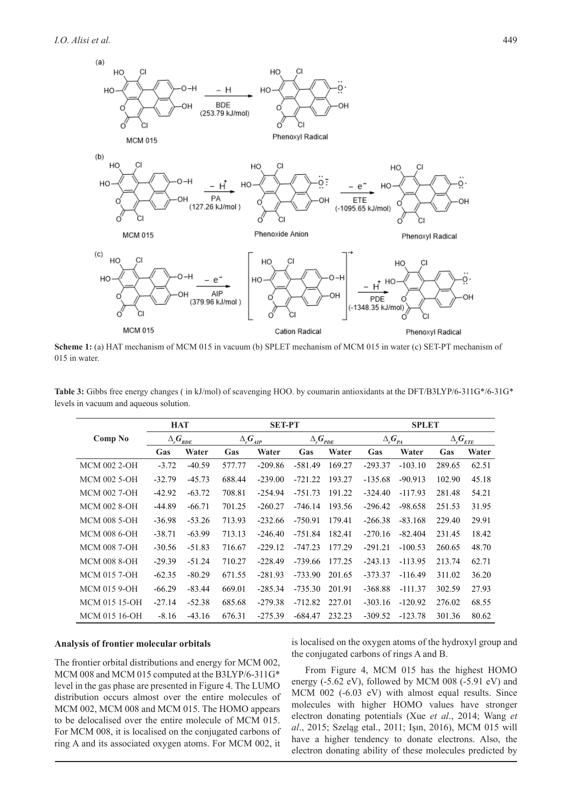

**Scheme 1:** (a) HAT mechanism of MCM 015 in vacuum (b) SPLET mechanism of MCM 015 in water (c) SET-PT mechanism of 015 in water.

|                      | <b>HAT</b>                            |          | <b>SET-PT</b><br><b>SPLET</b> |           |                     |        |                     |           |                          |       |
|----------------------|---------------------------------------|----------|-------------------------------|-----------|---------------------|--------|---------------------|-----------|--------------------------|-------|
| Comp No              | $\Delta_{\textit{r}}G_{\textit{BDE}}$ |          | $\Delta_{r}G_{_{AIP}}$        |           | $\Delta_{r}G_{PDE}$ |        | $\Delta_{r}G_{p_A}$ |           | $\Delta_{r}\bm{G}_{ETE}$ |       |
|                      | Gas                                   | Water    | Gas                           | Water     | Gas                 | Water  | Gas                 | Water     | Gas                      | Water |
| <b>MCM 002 2-OH</b>  | $-3.72$                               | $-40.59$ | 577.77                        | $-209.86$ | $-581.49$           | 169.27 | $-293.37$           | $-103.10$ | 289.65                   | 62.51 |
| <b>MCM 002 5-OH</b>  | $-32.79$                              | $-45.73$ | 688.44                        | $-239.00$ | $-721.22$           | 193.27 | $-135.68$           | $-90.913$ | 102.90                   | 45.18 |
| <b>MCM 002 7-OH</b>  | $-42.92$                              | $-63.72$ | 708.81                        | $-254.94$ | $-751.73$           | 191.22 | $-324.40$           | $-117.93$ | 281.48                   | 54.21 |
| <b>MCM 002 8-OH</b>  | -44.89                                | $-66.71$ | 701.25                        | $-260.27$ | $-746.14$           | 193.56 | $-296.42$           | $-98.658$ | 251.53                   | 31.95 |
| <b>MCM 008 5-OH</b>  | $-36.98$                              | $-53.26$ | 713.93                        | $-232.66$ | $-750.91$           | 179.41 | $-266.38$           | $-83.168$ | 229.40                   | 29.91 |
| <b>MCM 008 6-OH</b>  | $-38.71$                              | $-63.99$ | 713.13                        | $-246.40$ | $-751.84$           | 182.41 | $-270.16$           | $-82.404$ | 231.45                   | 18.42 |
| <b>MCM 008 7-OH</b>  | $-30.56$                              | $-51.83$ | 716.67                        | $-229.12$ | $-747.23$           | 177.29 | $-291.21$           | $-100.53$ | 260.65                   | 48.70 |
| <b>MCM 008 8-OH</b>  | $-29.39$                              | $-51.24$ | 710.27                        | $-228.49$ | $-739.66$           | 177.25 | $-243.13$           | $-113.95$ | 213.74                   | 62.71 |
| <b>MCM 015 7-OH</b>  | $-62.35$                              | $-80.29$ | 671.55                        | $-281.93$ | $-733.90$           | 201.65 | $-373.37$           | $-116.49$ | 311.02                   | 36.20 |
| <b>MCM 015 9-OH</b>  | $-66.29$                              | $-83.44$ | 669.01                        | $-285.34$ | $-735.30$           | 201.91 | $-368.88$           | $-111.37$ | 302.59                   | 27.93 |
| <b>MCM 015 15-OH</b> | $-27.14$                              | $-52.38$ | 685.68                        | $-279.38$ | $-712.82$           | 227.01 | $-303.16$           | $-120.92$ | 276.02                   | 68.55 |
| MCM 015 16-OH        | $-8.16$                               | $-43.16$ | 676.31                        | $-275.39$ | $-684.47$           | 232.23 | $-309.52$           | $-123.78$ | 301.36                   | 80.62 |

**Table 3:** Gibbs free energy changes ( in kJ/mol) of scavenging HOO. by coumarin antioxidants at the DFT/B3LYP/6-311G\*/6-31G\* levels in vacuum and aqueous solution.

## **Analysis of frontier molecular orbitals**

The frontier orbital distributions and energy for MCM 002, MCM 008 and MCM 015 computed at the B3LYP/6-311G\* level in the gas phase are presented in Figure 4. The LUMO distribution occurs almost over the entire molecules of MCM 002, MCM 008 and MCM 015. The HOMO appears to be delocalised over the entire molecule of MCM 015. For MCM 008, it is localised on the conjugated carbons of ring A and its associated oxygen atoms. For MCM 002, it

is localised on the oxygen atoms of the hydroxyl group and the conjugated carbons of rings A and B.

From Figure 4, MCM 015 has the highest HOMO energy (-5.62 eV), followed by MCM 008 (-5.91 eV) and MCM 002 (-6.03 eV) with almost equal results. Since molecules with higher HOMO values have stronger electron donating potentials (Xue *et al*., 2014; Wang *et al*., 2015; Szeląg etal., 2011; Işın, 2016), MCM 015 will have a higher tendency to donate electrons. Also, the electron donating ability of these molecules predicted by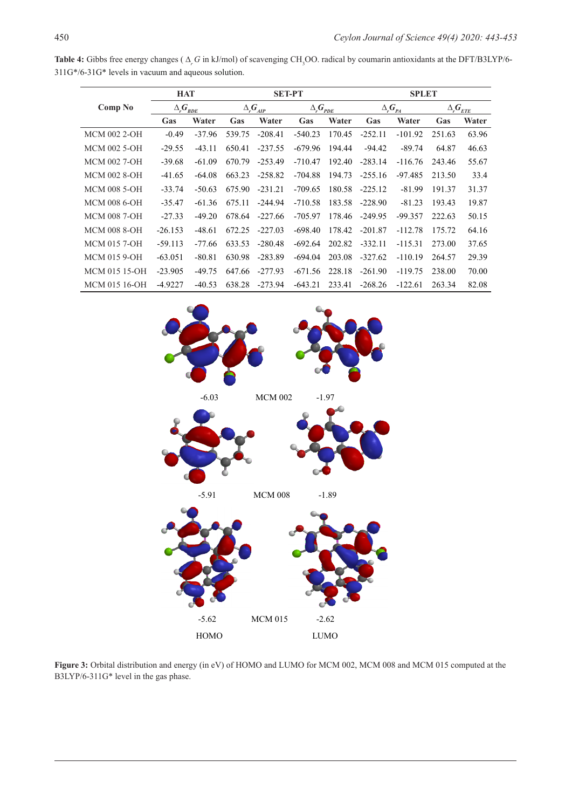| Table 4: Gibbs free energy changes ( $\Delta_{p}$ G in kJ/mol) of scavenging CH <sub>3</sub> OO. radical by coumarin antioxidants at the DFT/B3LYP/6- |  |
|-------------------------------------------------------------------------------------------------------------------------------------------------------|--|
| $311G*/6-31G*$ levels in vacuum and aqueous solution.                                                                                                 |  |

|                     | <b>HAT</b>          |          | <b>SET-PT</b>          |           |                     |        | <b>SPLET</b>        |           |                                                                       |       |
|---------------------|---------------------|----------|------------------------|-----------|---------------------|--------|---------------------|-----------|-----------------------------------------------------------------------|-------|
| Comp No             | $\Delta_{r}G_{BDE}$ |          | $\Delta_{r}G_{_{AIP}}$ |           | $\Delta_{r}G_{PDE}$ |        | $\Delta_{r}G_{p_A}$ |           | $\Delta_{\centerdot} G_{\centerdot \! \! \! E \! \! \! E \! \! \! E}$ |       |
|                     | Gas                 | Water    | Gas                    | Water     | Gas                 | Water  | Gas                 | Water     | Gas                                                                   | Water |
| <b>MCM 002 2-OH</b> | $-0.49$             | $-37.96$ | 539.75                 | $-208.41$ | $-540.23$           | 170.45 | $-252.11$           | $-101.92$ | 251.63                                                                | 63.96 |
| MCM 002 5-OH        | $-29.55$            | $-43.11$ | 650.41                 | $-237.55$ | $-679.96$           | 194.44 | $-94.42$            | $-89.74$  | 64.87                                                                 | 46.63 |
| <b>MCM 002 7-OH</b> | $-39.68$            | $-61.09$ | 670.79                 | $-253.49$ | $-710.47$           | 192.40 | $-283.14$           | $-116.76$ | 243.46                                                                | 55.67 |
| <b>MCM 002 8-OH</b> | $-41.65$            | $-64.08$ | 663.23                 | $-258.82$ | $-704.88$           | 194.73 | $-255.16$           | $-97.485$ | 213.50                                                                | 33.4  |
| <b>MCM 008 5-OH</b> | $-33.74$            | $-50.63$ | 675.90                 | $-231.21$ | $-709.65$           | 180.58 | $-225.12$           | $-81.99$  | 191.37                                                                | 31.37 |
| <b>MCM 008 6-OH</b> | $-35.47$            | $-61.36$ | 675.11                 | $-244.94$ | $-710.58$           | 183.58 | $-228.90$           | $-81.23$  | 193.43                                                                | 19.87 |
| <b>MCM 008 7-OH</b> | $-27.33$            | $-49.20$ | 678.64                 | $-227.66$ | $-705.97$           | 178.46 | $-249.95$           | $-99.357$ | 222.63                                                                | 50.15 |
| <b>MCM 008 8-OH</b> | $-26.153$           | $-48.61$ | 672.25                 | $-227.03$ | $-698.40$           | 178.42 | $-201.87$           | $-112.78$ | 175.72                                                                | 64.16 |
| <b>MCM 015 7-OH</b> | $-59.113$           | -77.66   | 633.53                 | $-280.48$ | $-692.64$           | 202.82 | $-332.11$           | $-115.31$ | 273.00                                                                | 37.65 |
| <b>MCM 015 9-OH</b> | $-63.051$           | $-80.81$ | 630.98                 | $-283.89$ | -694.04             | 203.08 | $-327.62$           | $-110.19$ | 264.57                                                                | 29.39 |
| MCM 015 15-OH       | $-23.905$           | $-49.75$ | 647.66                 | $-277.93$ | $-671.56$           | 228.18 | $-261.90$           | $-119.75$ | 238.00                                                                | 70.00 |
| MCM 015 16-OH       | $-4.9227$           | $-40.53$ | 638.28                 | $-273.94$ | $-643.21$           | 233.41 | $-268.26$           | $-122.61$ | 263.34                                                                | 82.08 |



**Figure 3:** Orbital distribution and energy (in eV) of HOMO and LUMO for MCM 002, MCM 008 and MCM 015 computed at the B3LYP/6-311G\* level in the gas phase.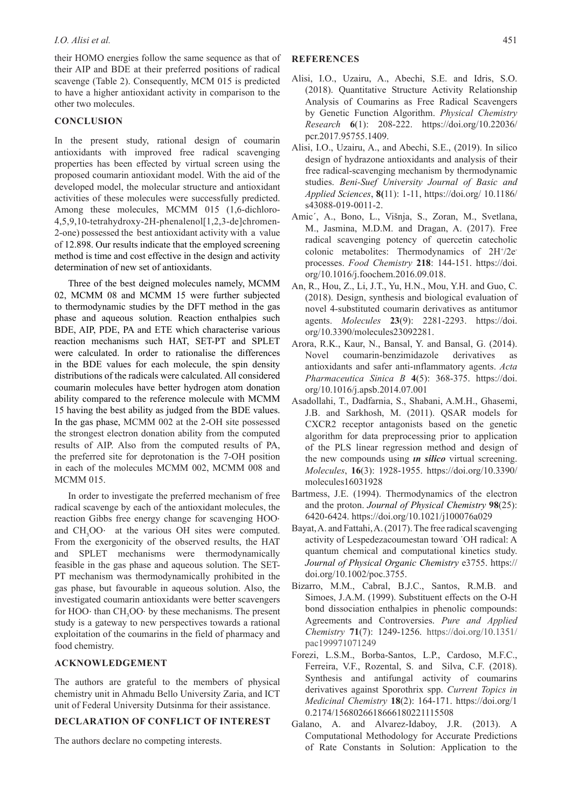their HOMO energies follow the same sequence as that of their AIP and BDE at their preferred positions of radical scavenge (Table 2). Consequently, MCM 015 is predicted to have a higher antioxidant activity in comparison to the other two molecules.

# **CONCLUSION**

In the present study, rational design of coumarin antioxidants with improved free radical scavenging properties has been effected by virtual screen using the proposed coumarin antioxidant model. With the aid of the developed model, the molecular structure and antioxidant activities of these molecules were successfully predicted. Among these molecules, MCMM 015 (1,6-dichloro-4,5,9,10-tetrahydroxy-2H-phenalenol[1,2,3-de]chromen-2-one) possessed the best antioxidant activity with a value of 12.898. Our results indicate that the employed screening method is time and cost effective in the design and activity determination of new set of antioxidants.

Three of the best deigned molecules namely, MCMM 02, MCMM 08 and MCMM 15 were further subjected to thermodynamic studies by the DFT method in the gas phase and aqueous solution. Reaction enthalpies such BDE, AIP, PDE, PA and ETE which characterise various reaction mechanisms such HAT, SET-PT and SPLET were calculated. In order to rationalise the differences in the BDE values for each molecule, the spin density distributions of the radicals were calculated. All considered coumarin molecules have better hydrogen atom donation ability compared to the reference molecule with MCMM 15 having the best ability as judged from the BDE values. In the gas phase, MCMM 002 at the 2-OH site possessed the strongest electron donation ability from the computed results of AIP. Also from the computed results of PA, the preferred site for deprotonation is the 7-OH position in each of the molecules MCMM 002, MCMM 008 and MCMM 015.

In order to investigate the preferred mechanism of free radical scavenge by each of the antioxidant molecules, the reaction Gibbs free energy change for scavenging HOO⋅ and  $CH<sub>3</sub>OO·$  at the various OH sites were computed. From the exergonicity of the observed results, the HAT and SPLET mechanisms were thermodynamically feasible in the gas phase and aqueous solution. The SET-PT mechanism was thermodynamically prohibited in the gas phase, but favourable in aqueous solution. Also, the investigated coumarin antioxidants were better scavengers for HOO⋅ than  $CH<sub>3</sub>OO·$  by these mechanisms. The present study is a gateway to new perspectives towards a rational exploitation of the coumarins in the field of pharmacy and food chemistry.

## **ACKNOWLEDGEMENT**

The authors are grateful to the members of physical chemistry unit in Ahmadu Bello University Zaria, and ICT unit of Federal University Dutsinma for their assistance.

# **DECLARATION OF CONFLICT OF INTEREST**

The authors declare no competing interests.

# **REFERENCES**

- Alisi, I.O., Uzairu, A., Abechi, S.E. and Idris, S.O. (2018). Quantitative Structure Activity Relationship Analysis of Coumarins as Free Radical Scavengers by Genetic Function Algorithm. *Physical Chemistry Research* **6**(1): 208-222. https://doi.org/10.22036/ pcr.2017.95755.1409.
- Alisi, I.O., Uzairu, A., and Abechi, S.E., (2019). In silico design of hydrazone antioxidants and analysis of their free radical-scavenging mechanism by thermodynamic studies. *Beni-Suef University Journal of Basic and Applied Sciences*, **8(**11): 1-11, https://doi.org/ 10.1186/ s43088-019-0011-2.
- Amic´, A., Bono, L., Višnja, S., Zoran, M., Svetlana, M., Jasmina, M.D.M. and Dragan, A. (2017). Free radical scavenging potency of quercetin catecholic colonic metabolites: Thermodynamics of 2H+/2e processes. *Food Chemistry* **218**: 144-151. https://doi. org/10.1016/j.foochem.2016.09.018.
- An, R., Hou, Z., Li, J.T., Yu, H.N., Mou, Y.H. and Guo, C. (2018). Design, synthesis and biological evaluation of novel 4-substituted coumarin derivatives as antitumor agents. *Molecules* **23**(9): 2281-2293. https://doi. org/10.3390/molecules23092281.
- Arora, R.K., Kaur, N., Bansal, Y. and Bansal, G. (2014). Novel coumarin-benzimidazole derivatives as antioxidants and safer anti-ınflammatory agents. *Acta Pharmaceutica Sinica B* **4**(5): 368-375. https://doi. org/10.1016/j.apsb.2014.07.001
- Asadollahi, T., Dadfarnia, S., Shabani, A.M.H., Ghasemi, J.B. and Sarkhosh, M. (2011). QSAR models for CXCR2 receptor antagonists based on the genetic algorithm for data preprocessing prior to application of the PLS linear regression method and design of the new compounds using *ın silico* virtual screening. *Molecules*, **16**(3): 1928-1955. https://doi.org/10.3390/ molecules16031928
- Bartmess, J.E. (1994). Thermodynamics of the electron and the proton. *Journal of Physical Chemistry* **98**(25): 6420-6424. https://doi.org/10.1021/j100076a029
- Bayat, A. and Fattahi, A. (2017). The free radical scavenging activity of Lespedezacoumestan toward ˙OH radical: A quantum chemical and computational kinetics study. *Journal of Physical Organic Chemistry* e3755. https:// doi.org/10.1002/poc.3755.
- Bizarro, M.M., Cabral, B.J.C., Santos, R.M.B. and Simoes, J.A.M. (1999). Substituent effects on the O-H bond dissociation enthalpies in phenolic compounds: Agreements and Controversies. *Pure and Applied Chemistry* **71**(7): 1249-1256. https://doi.org/10.1351/ pac199971071249
- Forezi, L.S.M., Borba-Santos, L.P., Cardoso, M.F.C., Ferreira, V.F., Rozental, S. and Silva, C.F. (2018). Synthesis and antifungal activity of coumarins derivatives against Sporothrix spp. *Current Topics in Medicinal Chemistry* **18**(2): 164-171. https://doi.org/1 0.2174/1568026618666180221115508
- Galano, A. and Alvarez-Idaboy, J.R. (2013). A Computational Methodology for Accurate Predictions of Rate Constants in Solution: Application to the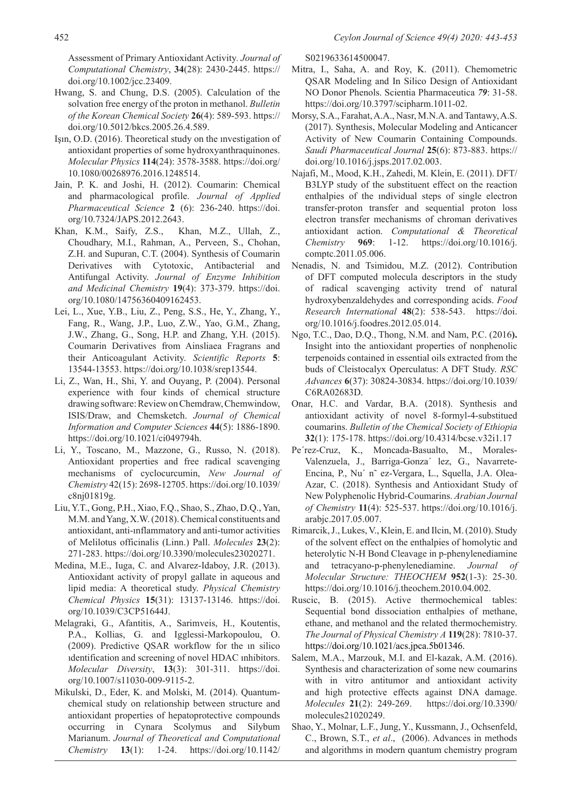Assessment of Primary Antioxidant Activity*. Journal of Computational Chemistry*, **34**(28): 2430-2445. https:// doi.org/10.1002/jcc.23409.

- Hwang, S. and Chung, D.S. (2005). Calculation of the solvation free energy of the proton in methanol. *Bulletin of the Korean Chemical Society* **26**(4): 589-593. https:// doi.org/10.5012/bkcs.2005.26.4.589.
- Işın, O.D. (2016). Theoretical study on the ınvestigation of antioxidant properties of some hydroxyanthraquinones. *Molecular Physics* **114**(24): 3578-3588. https://doi.org/ 10.1080/00268976.2016.1248514.
- Jain, P. K. and Joshi, H. (2012). Coumarin: Chemical and pharmacological profile. *Journal of Applied Pharmaceutical Science* **2** (6): 236-240. https://doi. org/10.7324/JAPS.2012.2643.
- Khan, K.M., Saify, Z.S., Khan, M.Z., Ullah, Z., Choudhary, M.I., Rahman, A., Perveen, S., Chohan, Z.H. and Supuran, C.T. (2004). Synthesis of Coumarin Derivatives with Cytotoxic, Antibacterial and Antifungal Activity. *Journal of Enzyme Inhibition and Medicinal Chemistry* **19**(4): 373-379. https://doi. org/10.1080/14756360409162453.
- Lei, L., Xue, Y.B., Liu, Z., Peng, S.S., He, Y., Zhang, Y., Fang, R., Wang, J.P., Luo, Z.W., Yao, G.M., Zhang, J.W., Zhang, G., Song, H.P. and Zhang, Y.H. (2015). Coumarin Derivatives from Ainsliaea Fragrans and their Anticoagulant Activity. *Scientific Reports* **5**: 13544-13553. https://doi.org/10.1038/srep13544.
- Li, Z., Wan, H., Shi, Y. and Ouyang, P. (2004). Personal experience with four kinds of chemical structure drawing software: Review on Chemdraw, Chemwindow, ISIS/Draw, and Chemsketch. *Journal of Chemical Information and Computer Sciences* **44**(5): 1886-1890. https://doi.org/10.1021/ci049794h.
- Li, Y., Toscano, M., Mazzone, G., Russo, N. (2018). Antioxidant properties and free radical scavenging mechanisms of cyclocurcumin, *New Journal of Chemistry* 42(15): 2698-12705. https://doi.org/10.1039/ c8nj01819g.
- Liu, Y.T., Gong, P.H., Xiao, F.Q., Shao, S., Zhao, D.Q., Yan, M.M. and Yang, X.W. (2018). Chemical constituents and antioxidant, anti-ınflammatory and anti-tumor activities of Melilotus officinalis (Linn.) Pall. *Molecules* **23**(2): 271-283. https://doi.org/10.3390/molecules23020271.
- Medina, M.E., Iuga, C. and Alvarez-Idaboy, J.R. (2013). Antioxidant activity of propyl gallate in aqueous and lipid media: A theoretical study. *Physical Chemistry Chemical Physics* **15**(31): 13137-13146. https://doi. org/10.1039/C3CP51644J.
- Melagraki, G., Afantitis, A., Sarimveis, H., Koutentis, P.A., Kollias, G. and Igglessi-Markopoulou, O. (2009). Predictive QSAR workflow for the ın silico ıdentification and screening of novel HDAC ınhibitors. *Molecular Diversity*, **13**(3): 301-311. https://doi. org/10.1007/s11030-009-9115-2.
- Mikulski, D., Eder, K. and Molski, M. (2014). Quantumchemical study on relationship between structure and antioxidant properties of hepatoprotective compounds occurring in Cynara Scolymus and Silybum Marianum. *Journal of Theoretical and Computational Chemistry* **13**(1): 1-24. https://doi.org/10.1142/

S0219633614500047.

- Mitra, I., Saha, A. and Roy, K. (2011). Chemometric QSAR Modeling and In Silico Design of Antioxidant NO Donor Phenols. Scientia Pharmaceutica *79*: 31-58. https://doi.org/10.3797/scipharm.1011-02.
- Morsy, S.A., Farahat, A.A., Nasr, M.N.A. and Tantawy, A.S. (2017). Synthesis, Molecular Modeling and Anticancer Activity of New Coumarin Containing Compounds. *Saudi Pharmaceutical Journal* **25**(6): 873-883. https:// doi.org/10.1016/j.jsps.2017.02.003.
- Najafi, M., Mood, K.H., Zahedi, M. Klein, E. (2011). DFT/ B3LYP study of the substituent effect on the reaction enthalpies of the ındividual steps of single electron transfer-proton transfer and sequential proton loss electron transfer mechanisms of chroman derivatives antioxidant action. *Computational & Theoretical Chemistry* **969**: 1-12. https://doi.org/10.1016/j. comptc.2011.05.006.
- Nenadis, N. and Tsimidou, M.Z. (2012). Contribution of DFT computed molecula descriptors in the study of radical scavenging activity trend of natural hydroxybenzaldehydes and corresponding acids. *Food Research International* **48**(2): 538-543. https://doi. org/10.1016/j.foodres.2012.05.014.
- Ngo, T.C., Dao, D.Q., Thong, N.M. and Nam, P.C. (2016**).**  Insight into the antioxidant properties of nonphenolic terpenoids contained in essential oils extracted from the buds of Cleistocalyx Operculatus: A DFT Study. *RSC Advances* **6**(37): 30824-30834. https://doi.org/10.1039/ C6RA02683D.
- Onar, H.C. and Vardar, B.A. (2018). Synthesis and antioxidant activity of novel 8-formyl-4-substitued coumarins. *Bulletin of the Chemical Society of Ethiopia* **32**(1): 175-178. https://doi.org/10.4314/bcse.v32i1.17
- Pe´rez-Cruz, K., Moncada-Basualto, M., Morales-Valenzuela, J., Barriga-Gonza´ lez, G., Navarrete-Encina, P., Nu´ n˜ ez-Vergara, L., Squella, J.A. Olea-Azar, C. (2018). Synthesis and Antioxidant Study of New Polyphenolic Hybrid-Coumarins. *Arabian Journal of Chemistry* **11**(4): 525-537. https://doi.org/10.1016/j. arabjc.2017.05.007.
- Rimarcik, J., Lukes, V., Klein, E. and Ilcin, M. (2010). Study of the solvent effect on the enthalpies of homolytic and heterolytic N-H Bond Cleavage in p-phenylenediamine and tetracyano-p-phenylenediamine. *Journal of Molecular Structure: THEOCHEM* **952**(1-3): 25-30. https://doi.org/10.1016/j.theochem.2010.04.002.
- Ruscic, B. (2015). Active thermochemical tables: Sequential bond dissociation enthalpies of methane, ethane, and methanol and the related thermochemistry. *The Journal of Physical Chemistry A* **119**(28): 7810-37. https://doi.org/10.1021/acs.jpca.5b01346.
- Salem, M.A., Marzouk, M.I. and El-kazak, A.M. (2016). Synthesis and characterization of some new coumarins with in vitro antitumor and antioxidant activity and high protective effects against DNA damage. *Molecules* **21**(2): 249-269. https://doi.org/10.3390/ molecules21020249.
- Shao, Y., Molnar, L.F., Jung, Y., Kussmann, J., Ochsenfeld, C., Brown, S.T., *et al*., (2006). Advances in methods and algorithms in modern quantum chemistry program